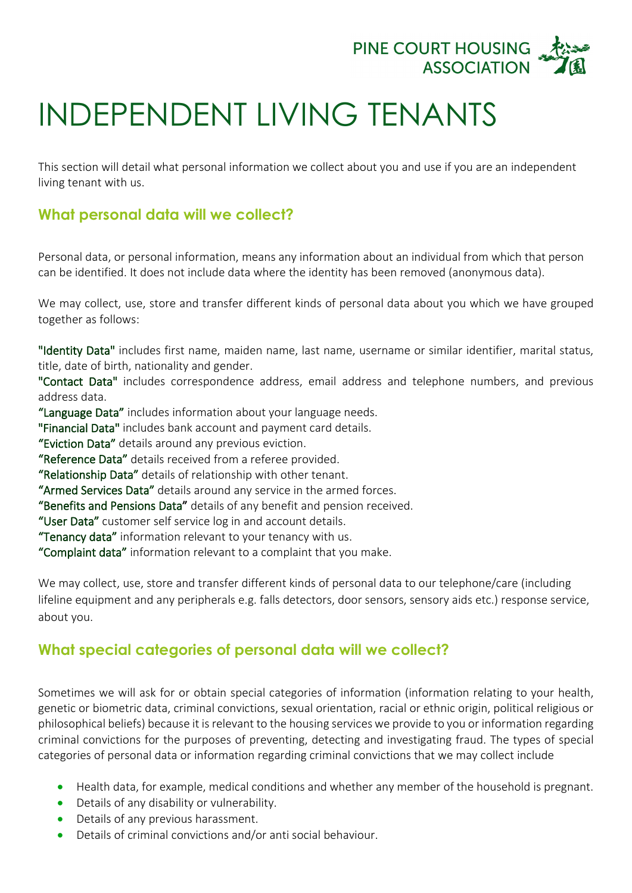

## INDEPENDENT LIVING TENANTS

This section will detail what personal information we collect about you and use if you are an independent living tenant with us.

## **What personal data will we collect?**

Personal data, or personal information, means any information about an individual from which that person can be identified. It does not include data where the identity has been removed (anonymous data).

We may collect, use, store and transfer different kinds of personal data about you which we have grouped together as follows:

"Identity Data" includes first name, maiden name, last name, username or similar identifier, marital status, title, date of birth, nationality and gender.

"Contact Data" includes correspondence address, email address and telephone numbers, and previous address data.

"Language Data" includes information about your language needs.

"Financial Data" includes bank account and payment card details.

"Eviction Data" details around any previous eviction.

"Reference Data" details received from a referee provided.

"Relationship Data" details of relationship with other tenant.

"Armed Services Data" details around any service in the armed forces.

"Benefits and Pensions Data" details of any benefit and pension received.

"User Data" customer self service log in and account details.

"Tenancy data" information relevant to your tenancy with us.

"Complaint data" information relevant to a complaint that you make.

We may collect, use, store and transfer different kinds of personal data to our telephone/care (including lifeline equipment and any peripherals e.g. falls detectors, door sensors, sensory aids etc.) response service, about you.

## **What special categories of personal data will we collect?**

Sometimes we will ask for or obtain special categories of information (information relating to your health, genetic or biometric data, criminal convictions, sexual orientation, racial or ethnic origin, political religious or philosophical beliefs) because it is relevant to the housing services we provide to you or information regarding criminal convictions for the purposes of preventing, detecting and investigating fraud. The types of special categories of personal data or information regarding criminal convictions that we may collect include

- Health data, for example, medical conditions and whether any member of the household is pregnant.
- Details of any disability or vulnerability.
- Details of any previous harassment.
- Details of criminal convictions and/or anti social behaviour.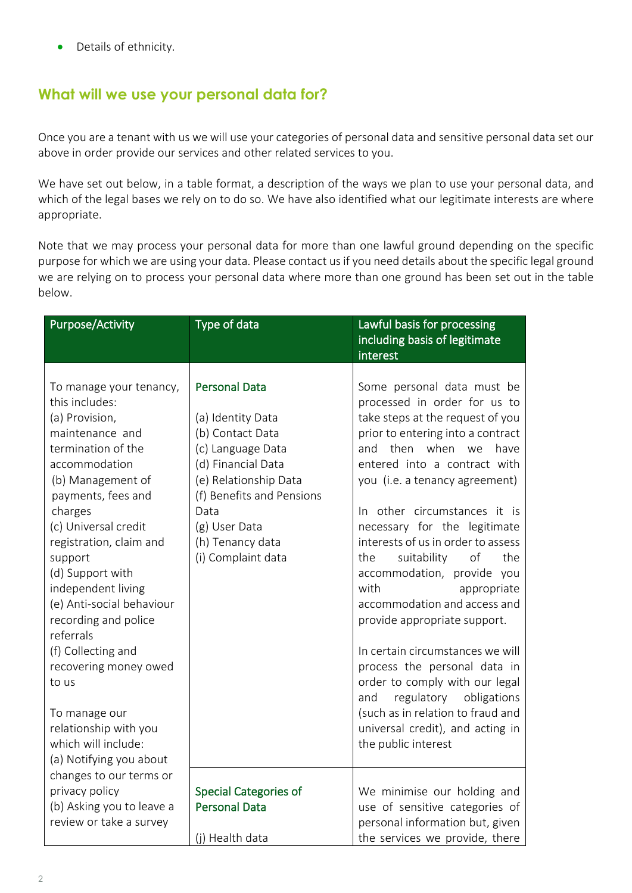• Details of ethnicity.

## **What will we use your personal data for?**

Once you are a tenant with us we will use your categories of personal data and sensitive personal data set our above in order provide our services and other related services to you.

We have set out below, in a table format, a description of the ways we plan to use your personal data, and which of the legal bases we rely on to do so. We have also identified what our legitimate interests are where appropriate.

Note that we may process your personal data for more than one lawful ground depending on the specific purpose for which we are using your data. Please contact us if you need details about the specific legal ground we are relying on to process your personal data where more than one ground has been set out in the table below.

| <b>Purpose/Activity</b>                                                                                                                                                                                                                                                                                                                                                                                                                                                                                   | Type of data                                                                                                                                                                                                                      | Lawful basis for processing<br>including basis of legitimate<br>interest                                                                                                                                                                                                                                                                                                                                                                                                                                                                                                                                                                                                                                                                           |
|-----------------------------------------------------------------------------------------------------------------------------------------------------------------------------------------------------------------------------------------------------------------------------------------------------------------------------------------------------------------------------------------------------------------------------------------------------------------------------------------------------------|-----------------------------------------------------------------------------------------------------------------------------------------------------------------------------------------------------------------------------------|----------------------------------------------------------------------------------------------------------------------------------------------------------------------------------------------------------------------------------------------------------------------------------------------------------------------------------------------------------------------------------------------------------------------------------------------------------------------------------------------------------------------------------------------------------------------------------------------------------------------------------------------------------------------------------------------------------------------------------------------------|
| To manage your tenancy,<br>this includes:<br>(a) Provision,<br>maintenance and<br>termination of the<br>accommodation<br>(b) Management of<br>payments, fees and<br>charges<br>(c) Universal credit<br>registration, claim and<br>support<br>(d) Support with<br>independent living<br>(e) Anti-social behaviour<br>recording and police<br>referrals<br>(f) Collecting and<br>recovering money owed<br>to us<br>To manage our<br>relationship with you<br>which will include:<br>(a) Notifying you about | <b>Personal Data</b><br>(a) Identity Data<br>(b) Contact Data<br>(c) Language Data<br>(d) Financial Data<br>(e) Relationship Data<br>(f) Benefits and Pensions<br>Data<br>(g) User Data<br>(h) Tenancy data<br>(i) Complaint data | Some personal data must be<br>processed in order for us to<br>take steps at the request of you<br>prior to entering into a contract<br>then<br>when<br>and<br>have<br>we<br>entered into a contract with<br>you (i.e. a tenancy agreement)<br>In other circumstances it is<br>necessary for the legitimate<br>interests of us in order to assess<br>the<br>the<br>suitability<br>of<br>accommodation, provide you<br>with<br>appropriate<br>accommodation and access and<br>provide appropriate support.<br>In certain circumstances we will<br>process the personal data in<br>order to comply with our legal<br>regulatory<br>obligations<br>and<br>(such as in relation to fraud and<br>universal credit), and acting in<br>the public interest |
| changes to our terms or<br>privacy policy<br>(b) Asking you to leave a<br>review or take a survey                                                                                                                                                                                                                                                                                                                                                                                                         | <b>Special Categories of</b><br><b>Personal Data</b><br>(j) Health data                                                                                                                                                           | We minimise our holding and<br>use of sensitive categories of<br>personal information but, given<br>the services we provide, there                                                                                                                                                                                                                                                                                                                                                                                                                                                                                                                                                                                                                 |